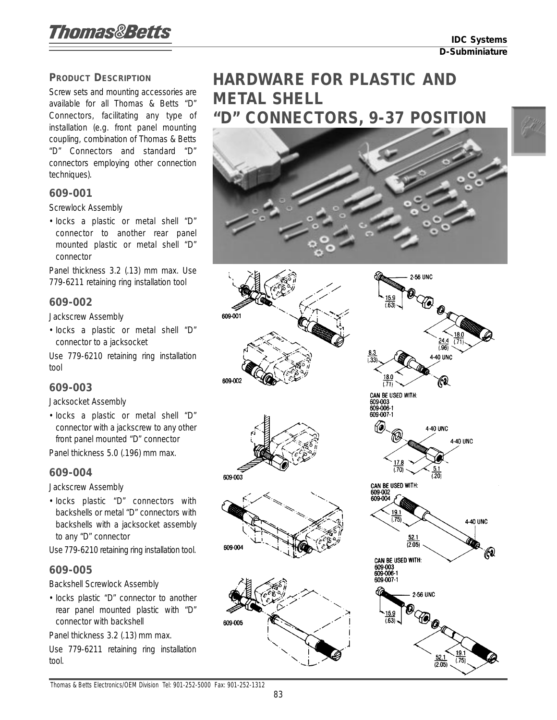### **PRODUCT DESCRIPTION**

Screw sets and mounting accessories are available for all Thomas & Betts "D" Connectors, facilitating any type of installation (e.g. front panel mounting coupling, combination of Thomas & Betts "D" Connectors and standard "D" connectors employing other connection techniques).

### **609-001**

Screwlock Assembly

• Iocks a plastic or metal shell "D" connector to another rear panel mounted plastic or metal shell "D" connector

Panel thickness 3.2 (.13) mm max. Use 779-6211 retaining ring installation tool

#### **609-002**

Jackscrew Assembly

• Iocks a plastic or metal shell "D" connector to a jacksocket

609-001

609-002

609-003

609-004

609-005

Use 779-6210 retaining ring installation tool

## **609-003**

Jacksocket Assembly

• Iocks a plastic or metal shell "D" connector with a jackscrew to any other front panel mounted "D" connector

Panel thickness 5.0 (.196) mm max.

### **609-004**

Jackscrew Assembly

• Iocks plastic "D" connectors with backshells or metal "D" connectors with backshells with a jacksocket assembly to any "D" connector

Use 779-6210 retaining ring installation tool.

### **609-005**

Backshell Screwlock Assembly

• Iocks plastic "D" connector to another rear panel mounted plastic with "D" connector with backshell

Panel thickness 3.2 (.13) mm max.

Use 779-6211 retaining ring installation tool.

# **HARDWARE FOR PLASTIC AND METAL SHELL "D" CONNECTORS, 9-37 POSITION**